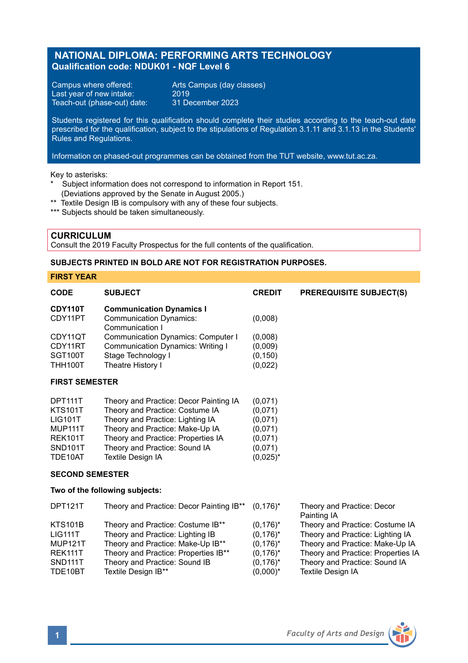# **NATIONAL DIPLOMA: PERFORMING ARTS TECHNOLOGY Qualification code: NDUK01 - NQF Level 6**

Campus where offered: Arts Campus (day classes)<br>Last year of new intake: 2019 Last year of new intake: 2019<br>Teach-out (phase-out) date: 31 December 2023 Teach-out (phase-out) date:

Students registered for this qualification should complete their studies according to the teach-out date prescribed for the qualification, subject to the stipulations of Regulation 3.1.11 and 3.1.13 in the Students' Rules and Regulations.

Information on phased-out programmes can be obtained from the TUT website, www.tut.ac.za.

Key to asterisks:

- Subject information does not correspond to information in Report 151. (Deviations approved by the Senate in August 2005.)
- \*\* Textile Design IB is compulsory with any of these four subjects.
- \*\*\* Subjects should be taken simultaneously.

### **CURRICULUM**

Consult the 2019 Faculty Prospectus for the full contents of the qualification.

### **SUBJECTS PRINTED IN BOLD ARE NOT FOR REGISTRATION PURPOSES.**

## **FIRST YEAR**

| <b>CODE</b>                                                                                                 | <b>SUBJECT</b>                                                                                                                                                                                                                                      | <b>CREDIT</b>                                                                 | <b>PREREQUISITE SUBJECT(S)</b>                                                                                                               |  |  |  |
|-------------------------------------------------------------------------------------------------------------|-----------------------------------------------------------------------------------------------------------------------------------------------------------------------------------------------------------------------------------------------------|-------------------------------------------------------------------------------|----------------------------------------------------------------------------------------------------------------------------------------------|--|--|--|
| CDY110T                                                                                                     | <b>Communication Dynamics I</b>                                                                                                                                                                                                                     |                                                                               |                                                                                                                                              |  |  |  |
| CDY11PT                                                                                                     | <b>Communication Dynamics:</b><br>Communication I                                                                                                                                                                                                   | (0,008)                                                                       |                                                                                                                                              |  |  |  |
| CDY11QT<br>CDY11RT<br>SGT100T<br><b>THH100T</b>                                                             | <b>Communication Dynamics: Computer I</b><br><b>Communication Dynamics: Writing I</b><br>Stage Technology I<br>Theatre History I                                                                                                                    | (0,008)<br>(0,009)<br>(0, 150)<br>(0,022)                                     |                                                                                                                                              |  |  |  |
| <b>FIRST SEMESTER</b>                                                                                       |                                                                                                                                                                                                                                                     |                                                                               |                                                                                                                                              |  |  |  |
| DPT111T<br><b>KTS101T</b><br><b>LIG101T</b><br>MUP111T<br><b>REK101T</b><br>SND <sub>101</sub> T<br>TDE10AT | Theory and Practice: Decor Painting IA<br>Theory and Practice: Costume IA<br>Theory and Practice: Lighting IA<br>Theory and Practice: Make-Up IA<br>Theory and Practice: Properties IA<br>Theory and Practice: Sound IA<br><b>Textile Design IA</b> | (0,071)<br>(0,071)<br>(0,071)<br>(0,071)<br>(0,071)<br>(0.071)<br>$(0.025)^*$ |                                                                                                                                              |  |  |  |
| <b>SECOND SEMESTER</b>                                                                                      |                                                                                                                                                                                                                                                     |                                                                               |                                                                                                                                              |  |  |  |
|                                                                                                             | Two of the following subjects:                                                                                                                                                                                                                      |                                                                               |                                                                                                                                              |  |  |  |
| <b>DPT121T</b>                                                                                              | Theory and Practice: Decor Painting IB**                                                                                                                                                                                                            | $(0,176)^*$                                                                   | Theory and Practice: Decor<br>Painting IA                                                                                                    |  |  |  |
| <b>KTS101B</b><br><b>LIG111T</b><br><b>MUP121T</b><br>REK111T                                               | Theory and Practice: Costume IB**<br>Theory and Practice: Lighting IB<br>Theory and Practice: Make-Up IB**<br>Theory and Practice: Properties IB**                                                                                                  | $(0,176)^*$<br>$(0,176)^*$<br>$(0.176)^*$<br>$(0,176)^*$                      | Theory and Practice: Costume IA<br>Theory and Practice: Lighting IA<br>Theory and Practice: Make-Up IA<br>Theory and Practice: Properties IA |  |  |  |
| SND111T<br>TDE10BT                                                                                          | Theory and Practice: Sound IB<br>Textile Design IB**                                                                                                                                                                                                | $(0,176)^*$<br>$(0,000)^*$                                                    | Theory and Practice: Sound IA<br><b>Textile Desian IA</b>                                                                                    |  |  |  |

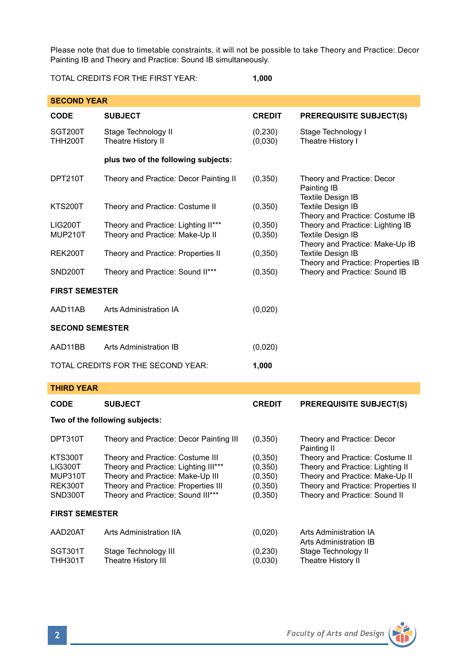Please note that due to timetable constraints, it will not be possible to take Theory and Practice: Decor Painting IB and Theory and Practice: Sound IB simultaneously.

TOTAL CREDITS FOR THE FIRST YEAR: **1,000**

| <b>SECOND YEAR</b>                                         |                                                                                                                                                                                          |                                                          |                                                                                                                                                                               |  |  |  |  |
|------------------------------------------------------------|------------------------------------------------------------------------------------------------------------------------------------------------------------------------------------------|----------------------------------------------------------|-------------------------------------------------------------------------------------------------------------------------------------------------------------------------------|--|--|--|--|
| <b>CODE</b>                                                | <b>SUBJECT</b>                                                                                                                                                                           | <b>CREDIT</b>                                            | <b>PREREQUISITE SUBJECT(S)</b>                                                                                                                                                |  |  |  |  |
| SGT200T<br><b>THH200T</b>                                  | Stage Technology II<br>Theatre History II                                                                                                                                                | (0, 230)<br>(0,030)                                      | Stage Technology I<br>Theatre History I                                                                                                                                       |  |  |  |  |
|                                                            | plus two of the following subjects:                                                                                                                                                      |                                                          |                                                                                                                                                                               |  |  |  |  |
| DPT210T                                                    | Theory and Practice: Decor Painting II                                                                                                                                                   | (0, 350)                                                 | Theory and Practice: Decor<br>Painting IB<br><b>Textile Design IB</b><br><b>Textile Design IB</b><br>Theory and Practice: Costume IB                                          |  |  |  |  |
| <b>KTS200T</b>                                             | Theory and Practice: Costume II                                                                                                                                                          | (0, 350)                                                 |                                                                                                                                                                               |  |  |  |  |
| <b>LIG200T</b><br><b>MUP210T</b>                           | Theory and Practice: Lighting II***<br>Theory and Practice: Make-Up II                                                                                                                   | (0, 350)<br>(0, 350)                                     | Theory and Practice: Lighting IB<br><b>Textile Design IB</b><br>Theory and Practice: Make-Up IB                                                                               |  |  |  |  |
| <b>REK200T</b>                                             | Theory and Practice: Properties II                                                                                                                                                       | (0, 350)                                                 | Textile Design IB<br>Theory and Practice: Properties IB<br>Theory and Practice: Sound IB                                                                                      |  |  |  |  |
| SND200T                                                    | Theory and Practice: Sound II***                                                                                                                                                         | (0, 350)                                                 |                                                                                                                                                                               |  |  |  |  |
| <b>FIRST SEMESTER</b>                                      |                                                                                                                                                                                          |                                                          |                                                                                                                                                                               |  |  |  |  |
| AAD11AB                                                    | Arts Administration IA                                                                                                                                                                   | (0,020)                                                  |                                                                                                                                                                               |  |  |  |  |
| <b>SECOND SEMESTER</b>                                     |                                                                                                                                                                                          |                                                          |                                                                                                                                                                               |  |  |  |  |
| AAD11BB                                                    | Arts Administration IB                                                                                                                                                                   | (0,020)                                                  |                                                                                                                                                                               |  |  |  |  |
|                                                            | TOTAL CREDITS FOR THE SECOND YEAR:                                                                                                                                                       | 1,000                                                    |                                                                                                                                                                               |  |  |  |  |
| <b>THIRD YEAR</b>                                          |                                                                                                                                                                                          |                                                          |                                                                                                                                                                               |  |  |  |  |
| <b>CODE</b>                                                | <b>SUBJECT</b>                                                                                                                                                                           | <b>CREDIT</b>                                            | <b>PREREQUISITE SUBJECT(S)</b>                                                                                                                                                |  |  |  |  |
| Two of the following subjects:                             |                                                                                                                                                                                          |                                                          |                                                                                                                                                                               |  |  |  |  |
| DPT310T                                                    | Theory and Practice: Decor Painting III                                                                                                                                                  | (0, 350)                                                 | Theory and Practice: Decor<br>Painting II                                                                                                                                     |  |  |  |  |
| <b>KTS300T</b><br>LIG300T<br>MUP310T<br>REK300T<br>SND300T | Theory and Practice: Costume III<br>Theory and Practice: Lighting III***<br>Theory and Practice: Make-Up III<br>Theory and Practice: Properties III<br>Theory and Practice: Sound III*** | (0, 350)<br>(0, 350)<br>(0, 350)<br>(0, 350)<br>(0, 350) | Theory and Practice: Costume II<br>Theory and Practice: Lighting II<br>Theory and Practice: Make-Up II<br>Theory and Practice: Properties II<br>Theory and Practice: Sound II |  |  |  |  |
| <b>FIRST SEMESTER</b>                                      |                                                                                                                                                                                          |                                                          |                                                                                                                                                                               |  |  |  |  |
| AAD20AT                                                    | Arts Administration IIA                                                                                                                                                                  | (0,020)                                                  | Arts Administration IA<br>Arts Administration IB<br>Stage Technology II<br>Theatre History II                                                                                 |  |  |  |  |
| SGT301T<br>ТНН301Т                                         | Stage Technology III<br>Theatre History III                                                                                                                                              | (0, 230)<br>(0,030)                                      |                                                                                                                                                                               |  |  |  |  |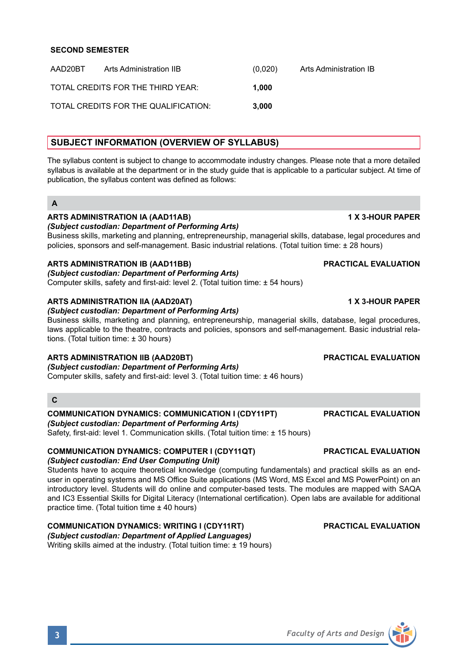| AAD20BT | Arts Administration IIB              | (0.020) | Arts Administration IB |
|---------|--------------------------------------|---------|------------------------|
|         | TOTAL CREDITS FOR THE THIRD YEAR:    | 1.000   |                        |
|         | TOTAL CREDITS FOR THE QUALIFICATION: | 3.000   |                        |

# **SUBJECT INFORMATION (OVERVIEW OF SYLLABUS)**

The syllabus content is subject to change to accommodate industry changes. Please note that a more detailed syllabus is available at the department or in the study guide that is applicable to a particular subject. At time of publication, the syllabus content was defined as follows:

## **A**

## **ARTS ADMINISTRATION IA (AAD11AB) 1 X 3-HOUR PAPER**

## *(Subject custodian: Department of Performing Arts)*

Business skills, marketing and planning, entrepreneurship, managerial skills, database, legal procedures and policies, sponsors and self-management. Basic industrial relations. (Total tuition time: ± 28 hours)

## **ARTS ADMINISTRATION IB (AAD11BB) PRACTICAL EVALUATION**

*(Subject custodian: Department of Performing Arts)* Computer skills, safety and first-aid: level 2. (Total tuition time: ± 54 hours)

### **ARTS ADMINISTRATION IIA (AAD20AT) 1 X 3-HOUR PAPER**

*(Subject custodian: Department of Performing Arts)*

Business skills, marketing and planning, entrepreneurship, managerial skills, database, legal procedures, laws applicable to the theatre, contracts and policies, sponsors and self-management. Basic industrial relations. (Total tuition time: ± 30 hours)

## **ARTS ADMINISTRATION IIB (AAD20BT) PRACTICAL EVALUATION**

*(Subject custodian: Department of Performing Arts)* Computer skills, safety and first-aid: level 3. (Total tuition time: ± 46 hours)

## **C**

### **COMMUNICATION DYNAMICS: COMMUNICATION I (CDY11PT) PRACTICAL EVALUATION** *(Subject custodian: Department of Performing Arts)*

Safety, first-aid: level 1. Communication skills. (Total tuition time: ± 15 hours)

### **COMMUNICATION DYNAMICS: COMPUTER I (CDY11QT) PRACTICAL EVALUATION** *(Subject custodian: End User Computing Unit)*

Students have to acquire theoretical knowledge (computing fundamentals) and practical skills as an enduser in operating systems and MS Office Suite applications (MS Word, MS Excel and MS PowerPoint) on an introductory level. Students will do online and computer-based tests. The modules are mapped with SAQA and IC3 Essential Skills for Digital Literacy (International certification). Open labs are available for additional practice time. (Total tuition time ± 40 hours)

# **COMMUNICATION DYNAMICS: WRITING I (CDY11RT) PRACTICAL EVALUATION**

*(Subject custodian: Department of Applied Languages)* Writing skills aimed at the industry. (Total tuition time: ± 19 hours)



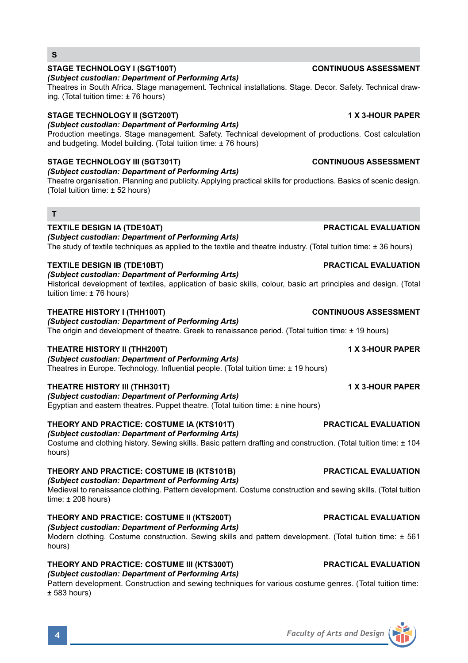# **STAGE TECHNOLOGY I (SGT100T) CONTINUOUS ASSESSMENT**

### *(Subject custodian: Department of Performing Arts)*

Theatres in South Africa. Stage management. Technical installations. Stage. Decor. Safety. Technical drawing. (Total tuition time: ± 76 hours)

### **STAGE TECHNOLOGY II (SGT200T) 1 X 3-HOUR PAPER**

*(Subject custodian: Department of Performing Arts)*

Production meetings. Stage management. Safety. Technical development of productions. Cost calculation and budgeting. Model building. (Total tuition time: ± 76 hours)

## **STAGE TECHNOLOGY III (SGT301T) CONTINUOUS ASSESSMENT**

*(Subject custodian: Department of Performing Arts)* Theatre organisation. Planning and publicity. Applying practical skills for productions. Basics of scenic design.

(Total tuition time: ± 52 hours)

# **T**

**S**

## **TEXTILE DESIGN IA (TDE10AT) PRACTICAL EVALUATION**

*(Subject custodian: Department of Performing Arts)*

The study of textile techniques as applied to the textile and theatre industry. (Total tuition time: ± 36 hours)

### **TEXTILE DESIGN IB (TDE10BT) PRACTICAL EVALUATION**

*(Subject custodian: Department of Performing Arts)* Historical development of textiles, application of basic skills, colour, basic art principles and design. (Total tuition time: ± 76 hours)

### **THEATRE HISTORY I (THH100T) CONTINUOUS ASSESSMENT**

*(Subject custodian: Department of Performing Arts)* The origin and development of theatre. Greek to renaissance period. (Total tuition time: ± 19 hours)

### **THEATRE HISTORY II (THH200T) 1 X 3-HOUR PAPER**

*(Subject custodian: Department of Performing Arts)* Theatres in Europe. Technology. Influential people. (Total tuition time: ± 19 hours)

### **THEATRE HISTORY III (THH301T) 1 X 3-HOUR PAPER**

*(Subject custodian: Department of Performing Arts)* Egyptian and eastern theatres. Puppet theatre. (Total tuition time: ± nine hours)

### **THEORY AND PRACTICE: COSTUME IA (KTS101T) PRACTICAL EVALUATION**

## *(Subject custodian: Department of Performing Arts)*

Costume and clothing history. Sewing skills. Basic pattern drafting and construction. (Total tuition time: ± 104 hours)

# **THEORY AND PRACTICE: COSTUME IB (KTS101B) PRACTICAL EVALUATION**

# *(Subject custodian: Department of Performing Arts)*

Medieval to renaissance clothing. Pattern development. Costume construction and sewing skills. (Total tuition time:  $\pm$  208 hours)

### **THEORY AND PRACTICE: COSTUME II (KTS200T) PRACTICAL EVALUATION**

*(Subject custodian: Department of Performing Arts)*

Modern clothing. Costume construction. Sewing skills and pattern development. (Total tuition time: ± 561 hours)

## **THEORY AND PRACTICE: COSTUME III (KTS300T) PRACTICAL EVALUATION** *(Subject custodian: Department of Performing Arts)*

Pattern development. Construction and sewing techniques for various costume genres. (Total tuition time:  $± 583 hours$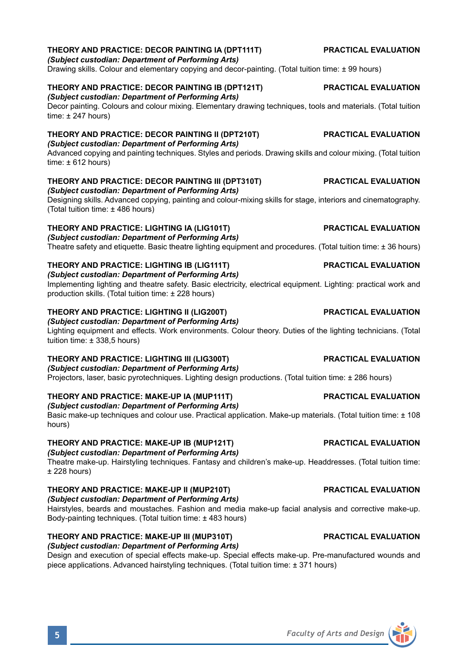# **THEORY AND PRACTICE: DECOR PAINTING IA (DPT111T) PRACTICAL EVALUATION**

*(Subject custodian: Department of Performing Arts)*

Drawing skills. Colour and elementary copying and decor-painting. (Total tuition time: ± 99 hours)

# **THEORY AND PRACTICE: DECOR PAINTING IB (DPT121T) PRACTICAL EVALUATION**

*(Subject custodian: Department of Performing Arts)*

Decor painting. Colours and colour mixing. Elementary drawing techniques, tools and materials. (Total tuition time: ± 247 hours)

# **THEORY AND PRACTICE: DECOR PAINTING II (DPT210T) PRACTICAL EVALUATION**

*(Subject custodian: Department of Performing Arts)*

Advanced copying and painting techniques. Styles and periods. Drawing skills and colour mixing. (Total tuition time:  $\pm 612$  hours)

# **THEORY AND PRACTICE: DECOR PAINTING III (DPT310T) PRACTICAL EVALUATION**

*(Subject custodian: Department of Performing Arts)* Designing skills. Advanced copying, painting and colour-mixing skills for stage, interiors and cinematography. (Total tuition time: ± 486 hours)

## **THEORY AND PRACTICE: LIGHTING IA (LIG101T) PRACTICAL EVALUATION**

*(Subject custodian: Department of Performing Arts)*

Theatre safety and etiquette. Basic theatre lighting equipment and procedures. (Total tuition time: ± 36 hours)

### **THEORY AND PRACTICE: LIGHTING IB (LIG111T) PRACTICAL EVALUATION** *(Subject custodian: Department of Performing Arts)*

Implementing lighting and theatre safety. Basic electricity, electrical equipment. Lighting: practical work and production skills. (Total tuition time: ± 228 hours)

## **THEORY AND PRACTICE: LIGHTING II (LIG200T) PRACTICAL EVALUATION**

*(Subject custodian: Department of Performing Arts)*

Lighting equipment and effects. Work environments. Colour theory. Duties of the lighting technicians. (Total tuition time: ± 338,5 hours)

# **THEORY AND PRACTICE: LIGHTING III (LIG300T) PRACTICAL EVALUATION**

*(Subject custodian: Department of Performing Arts)* Projectors, laser, basic pyrotechniques. Lighting design productions. (Total tuition time: ± 286 hours)

## **THEORY AND PRACTICE: MAKE-UP IA (MUP111T) PRACTICAL EVALUATION**

*(Subject custodian: Department of Performing Arts)*

Basic make-up techniques and colour use. Practical application. Make-up materials. (Total tuition time: ± 108 hours)

# **THEORY AND PRACTICE: MAKE-UP IB (MUP121T) PRACTICAL EVALUATION**

*(Subject custodian: Department of Performing Arts)* Theatre make-up. Hairstyling techniques. Fantasy and children's make-up. Headdresses. (Total tuition time: ± 228 hours)

# **THEORY AND PRACTICE: MAKE-UP II (MUP210T) PRACTICAL EVALUATION**

*(Subject custodian: Department of Performing Arts)*

Hairstyles, beards and moustaches. Fashion and media make-up facial analysis and corrective make-up. Body-painting techniques. (Total tuition time: ± 483 hours)

### **THEORY AND PRACTICE: MAKE-UP III (MUP310T) PRACTICAL EVALUATION** *(Subject custodian: Department of Performing Arts)*

Design and execution of special effects make-up. Special effects make-up. Pre-manufactured wounds and piece applications. Advanced hairstyling techniques. (Total tuition time: ± 371 hours)